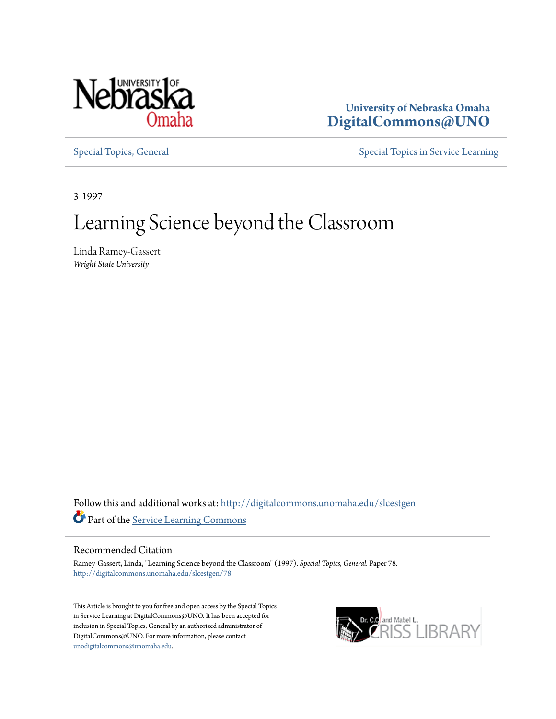

# **University of Nebraska Omaha [DigitalCommons@UNO](http://digitalcommons.unomaha.edu?utm_source=digitalcommons.unomaha.edu%2Fslcestgen%2F78&utm_medium=PDF&utm_campaign=PDFCoverPages)**

[Special Topics, General](http://digitalcommons.unomaha.edu/slcestgen?utm_source=digitalcommons.unomaha.edu%2Fslcestgen%2F78&utm_medium=PDF&utm_campaign=PDFCoverPages) [Special Topics in Service Learning](http://digitalcommons.unomaha.edu/slcespecialtopics?utm_source=digitalcommons.unomaha.edu%2Fslcestgen%2F78&utm_medium=PDF&utm_campaign=PDFCoverPages)

3-1997

# Learning Science beyond the Classroom

Linda Ramey-Gassert *Wright State University*

Follow this and additional works at: [http://digitalcommons.unomaha.edu/slcestgen](http://digitalcommons.unomaha.edu/slcestgen?utm_source=digitalcommons.unomaha.edu%2Fslcestgen%2F78&utm_medium=PDF&utm_campaign=PDFCoverPages) Part of the [Service Learning Commons](http://network.bepress.com/hgg/discipline/1024?utm_source=digitalcommons.unomaha.edu%2Fslcestgen%2F78&utm_medium=PDF&utm_campaign=PDFCoverPages)

# Recommended Citation

Ramey-Gassert, Linda, "Learning Science beyond the Classroom" (1997). *Special Topics, General.* Paper 78. [http://digitalcommons.unomaha.edu/slcestgen/78](http://digitalcommons.unomaha.edu/slcestgen/78?utm_source=digitalcommons.unomaha.edu%2Fslcestgen%2F78&utm_medium=PDF&utm_campaign=PDFCoverPages)

This Article is brought to you for free and open access by the Special Topics in Service Learning at DigitalCommons@UNO. It has been accepted for inclusion in Special Topics, General by an authorized administrator of DigitalCommons@UNO. For more information, please contact [unodigitalcommons@unomaha.edu](mailto:unodigitalcommons@unomaha.edu).

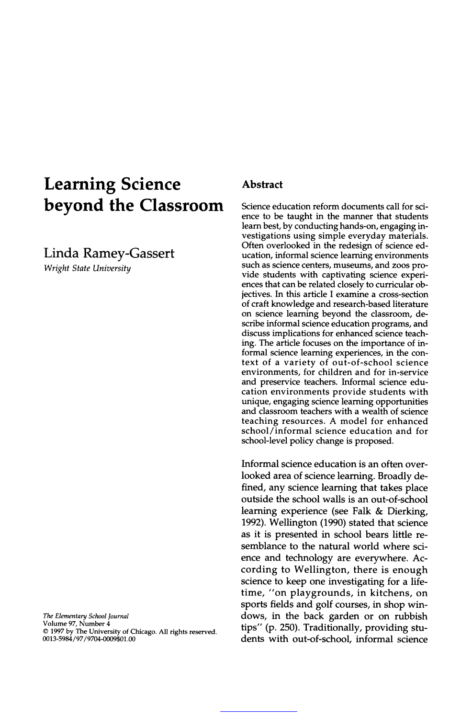# **Learning Science beyond the Classroom**

**Linda Ramey-Gassert** 

**Wright State University** 

**The Elementary School Journal Volume 97, Number 4 ? 1997 by The University of Chicago. All rights reserved. 0013-5984/97/9704-0009\$01.00** 

# **Abstract**

**Science education reform documents call for science to be taught in the manner that students learn best, by conducting hands-on, engaging investigations using simple everyday materials. Often overlooked in the redesign of science education, informal science learning environments such as science centers, museums, and zoos provide students with captivating science experiences that can be related closely to curricular objectives. In this article I examine a cross-section of craft knowledge and research-based literature on science learning beyond the classroom, describe informal science education programs, and discuss implications for enhanced science teaching. The article focuses on the importance of informal science learning experiences, in the context of a variety of out-of-school science environments, for children and for in-service and preservice teachers. Informal science education environments provide students with unique, engaging science learning opportunities and classroom teachers with a wealth of science teaching resources. A model for enhanced school/informal science education and for school-level policy change is proposed.** 

**Informal science education is an often overlooked area of science learning. Broadly defined, any science learning that takes place outside the school walls is an out-of-school learning experience (see Falk & Dierking, 1992). Wellington (1990) stated that science as it is presented in school bears little resemblance to the natural world where science and technology are everywhere. According to Wellington, there is enough science to keep one investigating for a lifetime, "on playgrounds, in kitchens, on sports fields and golf courses, in shop windows, in the back garden or on rubbish tips" (p. 250). Traditionally, providing students with out-of-school, informal science**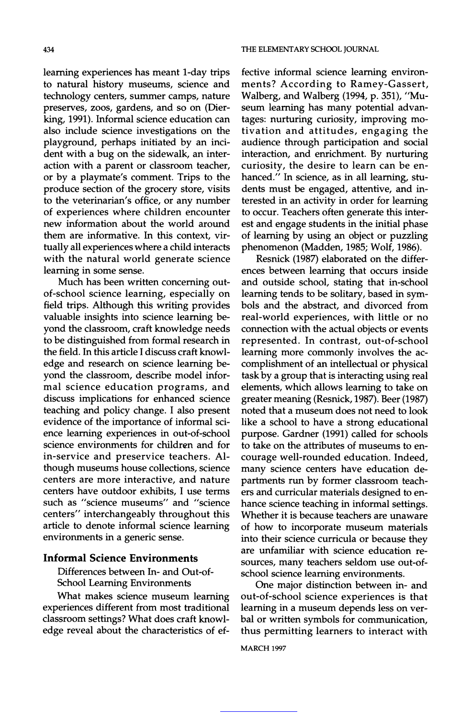**learning experiences has meant 1-day trips to natural history museums, science and technology centers, summer camps, nature preserves, zoos, gardens, and so on (Dierking, 1991). Informal science education can also include science investigations on the playground, perhaps initiated by an incident with a bug on the sidewalk, an interaction with a parent or classroom teacher, or by a playmate's comment. Trips to the produce section of the grocery store, visits to the veterinarian's office, or any number of experiences where children encounter new information about the world around them are informative. In this context, virtually all experiences where a child interacts with the natural world generate science learning in some sense.** 

**Much has been written concerning outof-school science learning, especially on field trips. Although this writing provides valuable insights into science learning beyond the classroom, craft knowledge needs to be distinguished from formal research in the field. In this article I discuss craft knowledge and research on science learning beyond the classroom, describe model informal science education programs, and discuss implications for enhanced science teaching and policy change. I also present evidence of the importance of informal science learning experiences in out-of-school science environments for children and for in-service and preservice teachers. Although museums house collections, science centers are more interactive, and nature centers have outdoor exhibits, I use terms such as "science museums" and "science centers" interchangeably throughout this article to denote informal science learning environments in a generic sense.** 

#### **Informal Science Environments**

**Differences between In- and Out-of-School Learning Environments** 

**What makes science museum learning experiences different from most traditional classroom settings? What does craft knowledge reveal about the characteristics of ef-** **fective informal science learning environments? According to Ramey-Gassert, Walberg, and Walberg (1994, p. 351), "Museum learning has many potential advantages: nurturing curiosity, improving motivation and attitudes, engaging the audience through participation and social interaction, and enrichment. By nurturing curiosity, the desire to learn can be enhanced." In science, as in all learning, students must be engaged, attentive, and interested in an activity in order for learning to occur. Teachers often generate this interest and engage students in the initial phase of learning by using an object or puzzling phenomenon (Madden, 1985; Wolf, 1986).** 

**Resnick (1987) elaborated on the differences between learning that occurs inside and outside school, stating that in-school learning tends to be solitary, based in symbols and the abstract, and divorced from real-world experiences, with little or no connection with the actual objects or events represented. In contrast, out-of-school learning more commonly involves the accomplishment of an intellectual or physical task by a group that is interacting using real elements, which allows learning to take on greater meaning (Resnick, 1987). Beer (1987) noted that a museum does not need to look like a school to have a strong educational purpose. Gardner (1991) called for schools to take on the attributes of museums to encourage well-rounded education. Indeed, many science centers have education departments run by former classroom teachers and curricular materials designed to enhance science teaching in informal settings. Whether it is because teachers are unaware of how to incorporate museum materials into their science curricula or because they are unfamiliar with science education resources, many teachers seldom use out-ofschool science learning environments.** 

**One major distinction between in- and out-of-school science experiences is that learning in a museum depends less on verbal or written symbols for communication, thus permitting learners to interact with**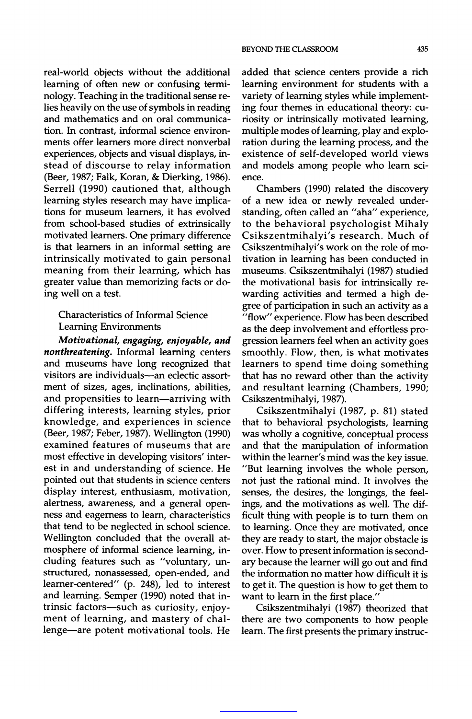**real-world objects without the additional learning of often new or confusing terminology. Teaching in the traditional sense relies heavily on the use of symbols in reading and mathematics and on oral communication. In contrast, informal science environments offer learners more direct nonverbal experiences, objects and visual displays, instead of discourse to relay information (Beer, 1987; Falk, Koran, & Dierking, 1986). Serrell (1990) cautioned that, although learning styles research may have implications for museum learners, it has evolved from school-based studies of extrinsically motivated learners. One primary difference is that learners in an informal setting are intrinsically motivated to gain personal meaning from their learning, which has greater value than memorizing facts or doing well on a test.** 

# **Characteristics of Informal Science Learning Environments**

**Motivational, engaging, enjoyable, and nonthreatening. Informal learning centers and museums have long recognized that**  visitors are individuals-an eclectic assort**ment of sizes, ages, inclinations, abilities, and propensities to learn-arriving with differing interests, learning styles, prior knowledge, and experiences in science (Beer, 1987; Feber, 1987). Wellington (1990) examined features of museums that are most effective in developing visitors' interest in and understanding of science. He pointed out that students in science centers display interest, enthusiasm, motivation, alertness, awareness, and a general openness and eagerness to learn, characteristics that tend to be neglected in school science. Wellington concluded that the overall atmosphere of informal science learning, including features such as "voluntary, unstructured, nonassessed, open-ended, and learner-centered" (p. 248), led to interest and learning. Semper (1990) noted that intrinsic factors-such as curiosity, enjoyment of learning, and mastery of challenge-are potent motivational tools. He** 

**added that science centers provide a rich learning environment for students with a variety of learning styles while implementing four themes in educational theory: curiosity or intrinsically motivated learning, multiple modes of learning, play and exploration during the learning process, and the existence of self-developed world views and models among people who learn science.** 

**Chambers (1990) related the discovery of a new idea or newly revealed understanding, often called an "aha" experience, to the behavioral psychologist Mihaly Csikszentmihalyi's research. Much of Csikszentmihalyi's work on the role of motivation in learning has been conducted in museums. Csikszentmihalyi (1987) studied the motivational basis for intrinsically rewarding activities and termed a high degree of participation in such an activity as a "flow" experience. Flow has been described as the deep involvement and effortless progression learners feel when an activity goes smoothly. Flow, then, is what motivates learners to spend time doing something that has no reward other than the activity and resultant learning (Chambers, 1990; Csikszentmihalyi, 1987).** 

**Csikszentmihalyi (1987, p. 81) stated that to behavioral psychologists, learning was wholly a cognitive, conceptual process and that the manipulation of information within the learner's mind was the key issue. "But learning involves the whole person, not just the rational mind. It involves the senses, the desires, the longings, the feelings, and the motivations as well. The difficult thing with people is to turn them on to learning. Once they are motivated, once they are ready to start, the major obstacle is over. How to present information is secondary because the learner will go out and find the information no matter how difficult it is to get it. The question is how to get them to want to learn in the first place."** 

**Csikszentmihalyi (1987) theorized that there are two components to how people learn. The first presents the primary instruc-**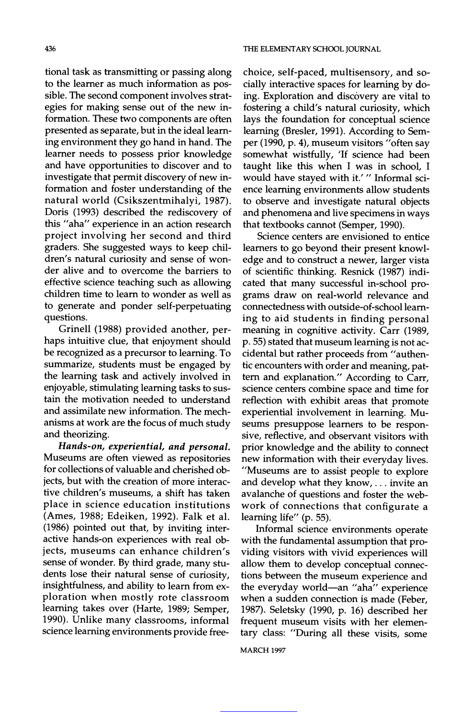**tional task as transmitting or passing along to the learner as much information as possible. The second component involves strategies for making sense out of the new information. These two components are often presented as separate, but in the ideal learning environment they go hand in hand. The learner needs to possess prior knowledge and have opportunities to discover and to investigate that permit discovery of new information and foster understanding of the natural world (Csikszentmihalyi, 1987). Doris (1993) described the rediscovery of this "aha" experience in an action research project involving her second and third graders. She suggested ways to keep children's natural curiosity and sense of wonder alive and to overcome the barriers to effective science teaching such as allowing children time to learn to wonder as well as to generate and ponder self-perpetuating questions.** 

**Grinell (1988) provided another, perhaps intuitive clue, that enjoyment should be recognized as a precursor to learning. To summarize, students must be engaged by the learning task and actively involved in enjoyable, stimulating learning tasks to sustain the motivation needed to understand and assimilate new information. The mechanisms at work are the focus of much study and theorizing.** 

**Hands-on, experiential, and personal. Museums are often viewed as repositories for collections of valuable and cherished objects, but with the creation of more interactive children's museums, a shift has taken place in science education institutions (Ames, 1988; Edeiken, 1992). Falk et al. (1986) pointed out that, by inviting interactive hands-on experiences with real objects, museums can enhance children's sense of wonder. By third grade, many students lose their natural sense of curiosity, insightfulness, and ability to learn from exploration when mostly rote classroom leamrning takes over (Harte, 1989; Semper, 1990). Unlike many classrooms, informal science learning environments provide free-** **choice, self-paced, multisensory, and socially interactive spaces for learning by doing. Exploration and discovery are vital to fostering a child's natural curiosity, which lays the foundation for conceptual science learning (Bresler, 1991). According to Semper (1990, p. 4), museum visitors "often say somewhat wistfully, 'If science had been taught like this when I was in school, I would have stayed with it.' " Informal science learning environments allow students to observe and investigate natural objects and phenomena and live specimens in ways that textbooks cannot (Semper, 1990).** 

**Science centers are envisioned to entice learners to go beyond their present knowledge and to construct a newer, larger vista of scientific thinking. Resnick (1987) indicated that many successful in-school programs draw on real-world relevance and connectedness with outside-of-school learning to aid students in finding personal meaning in cognitive activity. Carr (1989, p. 55) stated that museum learning is not accidental but rather proceeds from "authentic encounters with order and meaning, pattern and explanation." According to Carr, science centers combine space and time for reflection with exhibit areas that promote experiential involvement in learning. Museums presuppose learners to be responsive, reflective, and observant visitors with prior knowledge and the ability to connect new information with their everyday lives. "Museums are to assist people to explore and develop what they know,... invite an avalanche of questions and foster the webwork of connections that configurate a learning life" (p. 55).** 

**Informal science environments operate with the fundamental assumption that providing visitors with vivid experiences will allow them to develop conceptual connections between the museum experience and the everyday world--an "aha" experience when a sudden connection is made (Feber, 1987). Seletsky (1990, p. 16) described her frequent museum visits with her elementary class: "During all these visits, some**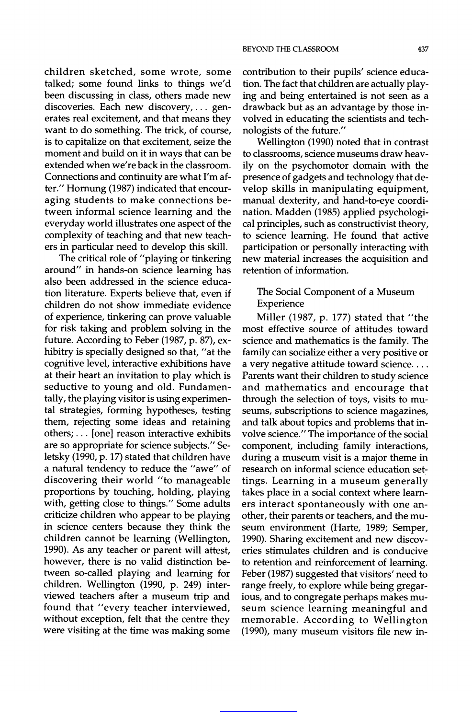**children sketched, some wrote, some talked; some found links to things we'd been discussing in class, others made new discoveries. Each new discovery,... generates real excitement, and that means they want to do something. The trick, of course, is to capitalize on that excitement, seize the moment and build on it in ways that can be extended when we're back in the classroom. Connections and continuity are what I'm after." Hornung (1987) indicated that encouraging students to make connections between informal science learning and the everyday world illustrates one aspect of the complexity of teaching and that new teachers in particular need to develop this skill.** 

**The critical role of "playing or tinkering around" in hands-on science learning has also been addressed in the science education literature. Experts believe that, even if children do not show immediate evidence of experience, tinkering can prove valuable for risk taking and problem solving in the future. According to Feber (1987, p. 87), exhibitry is specially designed so that, "at the cognitive level, interactive exhibitions have at their heart an invitation to play which is seductive to young and old. Fundamentally, the playing visitor is using experimental strategies, forming hypotheses, testing them, rejecting some ideas and retaining others;... [one] reason interactive exhibits are so appropriate for science subjects." Seletsky (1990, p. 17) stated that children have a natural tendency to reduce the "awe" of discovering their world "to manageable proportions by touching, holding, playing with, getting close to things." Some adults criticize children who appear to be playing in science centers because they think the children cannot be learning (Wellington, 1990). As any teacher or parent will attest, however, there is no valid distinction between so-called playing and learning for children. Wellington (1990, p. 249) interviewed teachers after a museum trip and found that "every teacher interviewed, without exception, felt that the centre they were visiting at the time was making some** 

**contribution to their pupils' science education. The fact that children are actually playing and being entertained is not seen as a drawback but as an advantage by those involved in educating the scientists and technologists of the future."** 

**Wellington (1990) noted that in contrast to classrooms, science museums draw heavily on the psychomotor domain with the presence of gadgets and technology that develop skills in manipulating equipment, manual dexterity, and hand-to-eye coordination. Madden (1985) applied psychological principles, such as constructivist theory, to science learning. He found that active participation or personally interacting with new material increases the acquisition and retention of information.** 

# **The Social Component of a Museum Experience**

**Miller (1987, p. 177) stated that "the most effective source of attitudes toward science and mathematics is the family. The family can socialize either a very positive or a very negative attitude toward science.... Parents want their children to study science and mathematics and encourage that through the selection of toys, visits to museums, subscriptions to science magazines, and talk about topics and problems that involve science." The importance of the social component, including family interactions, during a museum visit is a major theme in research on informal science education settings. Learning in a museum generally takes place in a social context where learners interact spontaneously with one another, their parents or teachers, and the museum environment (Harte, 1989; Semper, 1990). Sharing excitement and new discoveries stimulates children and is conducive to retention and reinforcement of learning. Feber (1987) suggested that visitors' need to range freely, to explore while being gregarious, and to congregate perhaps makes museum science learning meaningful and memorable. According to Wellington (1990), many museum visitors file new in-**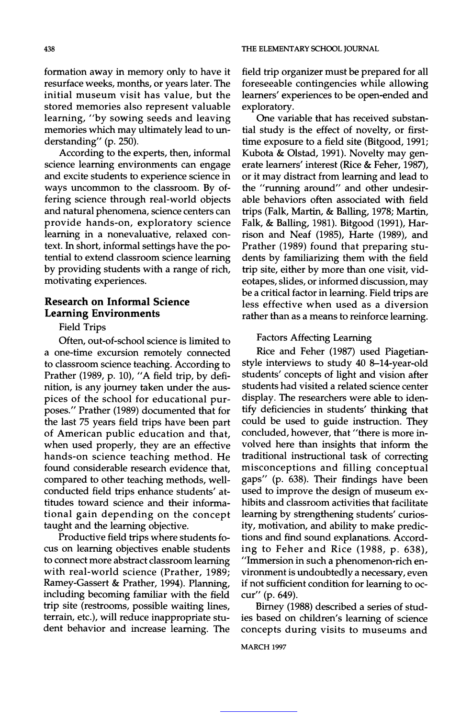**formation away in memory only to have it resurface weeks, months, or years later. The initial museum visit has value, but the stored memories also represent valuable learning, "by sowing seeds and leaving memories which may ultimately lead to understanding" (p. 250).** 

**According to the experts, then, informal science learning environments can engage and excite students to experience science in ways uncommon to the classroom. By offering science through real-world objects and natural phenomena, science centers can provide hands-on, exploratory science learning in a nonevaluative, relaxed context. In short, informal settings have the potential to extend classroom science learning by providing students with a range of rich, motivating experiences.** 

# **Research on Informal Science Learning Environments**

#### **Field Trips**

**Often, out-of-school science is limited to a one-time excursion remotely connected to classroom science teaching. According to Prather (1989, p. 10), "A field trip, by definition, is any journey taken under the auspices of the school for educational purposes." Prather (1989) documented that for the last 75 years field trips have been part of American public education and that, when used properly, they are an effective hands-on science teaching method. He found considerable research evidence that, compared to other teaching methods, wellconducted field trips enhance students' attitudes toward science and their informational gain depending on the concept taught and the learning objective.** 

**Productive field trips where students focus on learning objectives enable students to connect more abstract classroom learning with real-world science (Prather, 1989; Ramey-Gassert & Prather, 1994). Planning, including becoming familiar with the field trip site (restrooms, possible waiting lines, terrain, etc.), will reduce inappropriate student behavior and increase learning. The** 

**field trip organizer must be prepared for all foreseeable contingencies while allowing learners' experiences to be open-ended and exploratory.** 

**One variable that has received substantial study is the effect of novelty, or firsttime exposure to a field site (Bitgood, 1991; Kubota & Olstad, 1991). Novelty may generate learners' interest (Rice & Feher, 1987), or it may distract from learning and lead to the "running around" and other undesirable behaviors often associated with field trips (Falk, Martin, & Balling, 1978; Martin, Falk, & Balling, 1981). Bitgood (1991), Harrison and Neaf (1985), Harte (1989), and Prather (1989) found that preparing students by familiarizing them with the field trip site, either by more than one visit, videotapes, slides, or informed discussion, may be a critical factor in learning. Field trips are less effective when used as a diversion rather than as a means to reinforce learning.** 

#### **Factors Affecting Learning**

**Rice and Feher (1987) used Piagetianstyle interviews to study 40 8-14-year-old students' concepts of light and vision after students had visited a related science center display. The researchers were able to identify deficiencies in students' thinking that could be used to guide instruction. They concluded, however, that "there is more involved here than insights that inform the traditional instructional task of correcting misconceptions and filling conceptual gaps" (p. 638). Their findings have been used to improve the design of museum exhibits and classroom activities that facilitate learning by strengthening students' curiosity, motivation, and ability to make predictions and find sound explanations. According to Feher and Rice (1988, p. 638), "Immersion in such a phenomenon-rich environment is undoubtedly a necessary, even if not sufficient condition for learning to occur" (p. 649).** 

**Birney (1988) described a series of studies based on children's learning of science concepts during visits to museums and**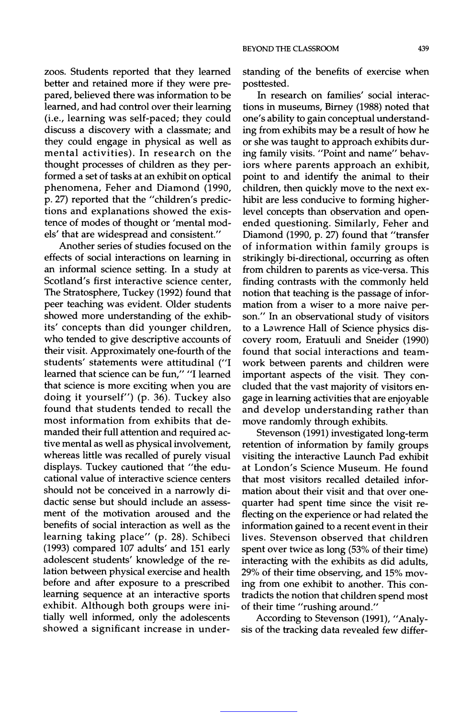**zoos. Students reported that they learned better and retained more if they were prepared, believed there was information to be learned, and had control over their learning (i.e., learning was self-paced; they could discuss a discovery with a classmate; and they could engage in physical as well as mental activities). In research on the thought processes of children as they performed a set of tasks at an exhibit on optical phenomena, Feher and Diamond (1990, p. 27) reported that the "children's predictions and explanations showed the existence of modes of thought or 'mental models' that are widespread and consistent."** 

**Another series of studies focused on the effects of social interactions on learning in an informal science setting. In a study at Scotland's first interactive science center, The Stratosphere, Tuckey (1992) found that peer teaching was evident. Older students showed more understanding of the exhibits' concepts than did younger children, who tended to give descriptive accounts of their visit. Approximately one-fourth of the students' statements were attitudinal ("I learned that science can be fun," "I learned that science is more exciting when you are doing it yourself") (p. 36). Tuckey also found that students tended to recall the most information from exhibits that demanded their full attention and required active mental as well as physical involvement, whereas little was recalled of purely visual displays. Tuckey cautioned that "the educational value of interactive science centers should not be conceived in a narrowly didactic sense but should include an assessment of the motivation aroused and the benefits of social interaction as well as the learning taking place" (p. 28). Schibeci (1993) compared 107 adults' and 151 early adolescent students' knowledge of the relation between physical exercise and health before and after exposure to a prescribed learning sequence at an interactive sports exhibit. Although both groups were initially well informed, only the adolescents showed a significant increase in under-** **standing of the benefits of exercise when posttested.** 

**In research on families' social interactions in museums, Birney (1988) noted that one's ability to gain conceptual understanding from exhibits may be a result of how he or she was taught to approach exhibits during family visits. "Point and name" behaviors where parents approach an exhibit, point to and identify the animal to their children, then quickly move to the next exhibit are less conducive to forming higherlevel concepts than observation and openended questioning. Similarly, Feher and Diamond (1990, p. 27) found that "transfer of information within family groups is strikingly bi-directional, occurring as often from children to parents as vice-versa. This finding contrasts with the commonly held notion that teaching is the passage of information from a wiser to a more naive person." In an observational study of visitors to a Lawrence Hall of Science physics discovery room, Eratuuli and Sneider (1990) found that social interactions and teamwork between parents and children were important aspects of the visit. They concluded that the vast majority of visitors engage in learning activities that are enjoyable and develop understanding rather than move randomly through exhibits.** 

**Stevenson (1991) investigated long-term retention of information by family groups visiting the interactive Launch Pad exhibit at London's Science Museum. He found that most visitors recalled detailed information about their visit and that over onequarter had spent time since the visit reflecting on the experience or had related the information gained to a recent event in their lives. Stevenson observed that children spent over twice as long (53% of their time) interacting with the exhibits as did adults, 29% of their time observing, and 15% moving from one exhibit to another. This contradicts the notion that children spend most of their time "rushing around."** 

**According to Stevenson (1991), "Analysis of the tracking data revealed few differ-**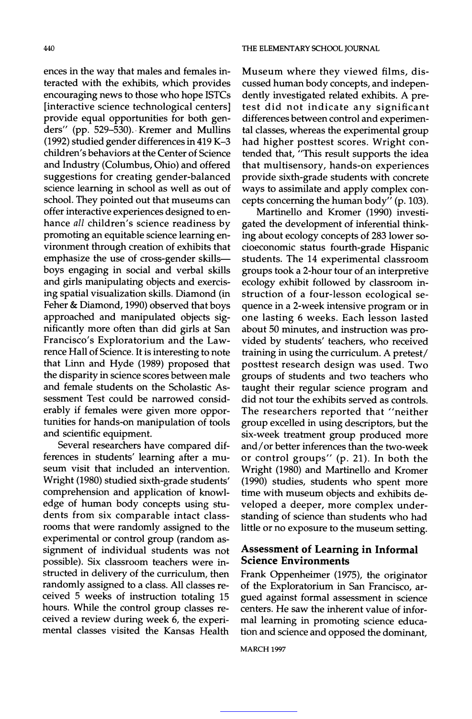**ences in the way that males and females interacted with the exhibits, which provides encouraging news to those who hope ISTCs [interactive science technological centers] provide equal opportunities for both genders" (pp. 529-530). Kremer and Mullins (1992) studied gender differences in 419 K-3 children's behaviors at the Center of Science and Industry (Columbus, Ohio) and offered suggestions for creating gender-balanced science learning in school as well as out of school. They pointed out that museums can offer interactive experiences designed to enhance all children's science readiness by promoting an equitable science learning environment through creation of exhibits that emphasize the use of cross-gender skills- boys engaging in social and verbal skills and girls manipulating objects and exercising spatial visualization skills. Diamond (in Feher & Diamond, 1990) observed that boys approached and manipulated objects significantly more often than did girls at San Francisco's Exploratorium and the Lawrence Hall of Science. It is interesting to note that Linn and Hyde (1989) proposed that the disparity in science scores between male and female students on the Scholastic Assessment Test could be narrowed considerably if females were given more opportunities for hands-on manipulation of tools and scientific equipment.** 

**Several researchers have compared differences in students' learning after a museum visit that included an intervention. Wright (1980) studied sixth-grade students' comprehension and application of knowledge of human body concepts using students from six comparable intact classrooms that were randomly assigned to the experimental or control group (random assignment of individual students was not possible). Six classroom teachers were instructed in delivery of the curriculum, then randomly assigned to a class. All classes received 5 weeks of instruction totaling 15 hours. While the control group classes received a review during week 6, the experimental classes visited the Kansas Health** 

**Museum where they viewed films, discussed human body concepts, and independently investigated related exhibits. A pretest did not indicate any significant differences between control and experimental classes, whereas the experimental group had higher posttest scores. Wright contended that, "This result supports the idea that multisensory, hands-on experiences provide sixth-grade students with concrete ways to assimilate and apply complex concepts concerning the human body" (p. 103).** 

**Martinello and Kromer (1990) investigated the development of inferential thinking about ecology concepts of 283 lower socioeconomic status fourth-grade Hispanic students. The 14 experimental classroom groups took a 2-hour tour of an interpretive ecology exhibit followed by classroom instruction of a four-lesson ecological sequence in a 2-week intensive program or in one lasting 6 weeks. Each lesson lasted about 50 minutes, and instruction was provided by students' teachers, who received training in using the curriculum. A pretest/ posttest research design was used. Two groups of students and two teachers who taught their regular science program and did not tour the exhibits served as controls. The researchers reported that "neither group excelled in using descriptors, but the six-week treatment group produced more and/or better inferences than the two-week or control groups" (p. 21). In both the Wright (1980) and Martinello and Kromer (1990) studies, students who spent more time with museum objects and exhibits developed a deeper, more complex understanding of science than students who had little or no exposure to the museum setting.** 

# **Assessment of Learning in Informal Science Environments**

**Frank Oppenheimer (1975), the originator of the Exploratorium in San Francisco, argued against formal assessment in science centers. He saw the inherent value of informal learning in promoting science education and science and opposed the dominant,**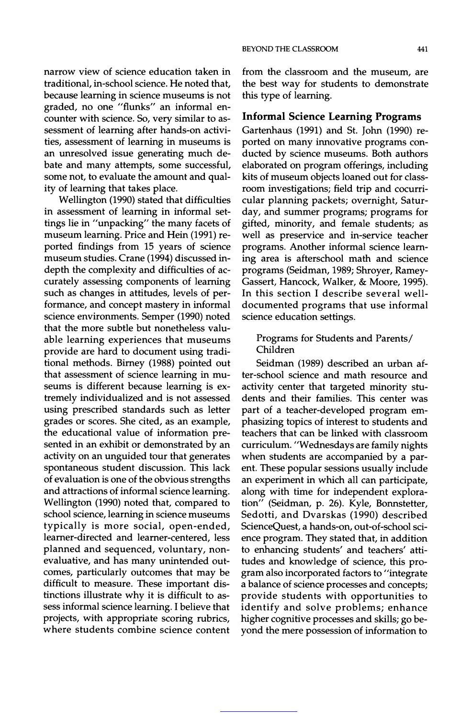**BEYOND THE CLASSROOM 441** 

**narrow view of science education taken in traditional, in-school science. He noted that, because learning in science museums is not graded, no one "flunks" an informal encounter with science. So, very similar to assessment of learning after hands-on activities, assessment of learning in museums is an unresolved issue generating much debate and many attempts, some successful, some not, to evaluate the amount and quality of learning that takes place.** 

**Wellington (1990) stated that difficulties in assessment of learning in informal settings lie in "unpacking" the many facets of museum learning. Price and Hein (1991) reported findings from 15 years of science museum studies. Crane (1994) discussed indepth the complexity and difficulties of accurately assessing components of learning such as changes in attitudes, levels of performance, and concept mastery in informal science environments. Semper (1990) noted that the more subtle but nonetheless valuable learning experiences that museums provide are hard to document using traditional methods. Birney (1988) pointed out that assessment of science learning in museums is different because learning is extremely individualized and is not assessed using prescribed standards such as letter grades or scores. She cited, as an example, the educational value of information presented in an exhibit or demonstrated by an activity on an unguided tour that generates spontaneous student discussion. This lack of evaluation is one of the obvious strengths and attractions of informal science learning. Wellington (1990) noted that, compared to school science, learning in science museums typically is more social, open-ended, learner-directed and learner-centered, less planned and sequenced, voluntary, nonevaluative, and has many unintended outcomes, particularly outcomes that may be difficult to measure. These important distinctions illustrate why it is difficult to assess informal science learning. I believe that projects, with appropriate scoring rubrics, where students combine science content** 

**from the classroom and the museum, are the best way for students to demonstrate this type of learning.** 

#### **Informal Science Learning Programs**

**Gartenhaus (1991) and St. John (1990) reported on many innovative programs conducted by science museums. Both authors elaborated on program offerings, including kits of museum objects loaned out for classroom investigations; field trip and cocurricular planning packets; overnight, Saturday, and summer programs; programs for gifted, minority, and female students; as well as preservice and in-service teacher programs. Another informal science learning area is afterschool math and science programs (Seidman, 1989; Shroyer, Ramey-Gassert, Hancock, Walker, & Moore, 1995). In this section I describe several welldocumented programs that use informal science education settings.** 

# **Programs for Students and Parents/ Children**

**Seidman (1989) described an urban after-school science and math resource and activity center that targeted minority students and their families. This center was part of a teacher-developed program emphasizing topics of interest to students and teachers that can be linked with classroom curriculum. "Wednesdays are family nights when students are accompanied by a parent. These popular sessions usually include an experiment in which all can participate, along with time for independent exploration" (Seidman, p. 26). Kyle, Bonnstetter, Sedotti, and Dvarskas (1990) described ScienceQuest, a hands-on, out-of-school science program. They stated that, in addition to enhancing students' and teachers' attitudes and knowledge of science, this program also incorporated factors to "integrate a balance of science processes and concepts; provide students with opportunities to identify and solve problems; enhance higher cognitive processes and skills; go beyond the mere possession of information to**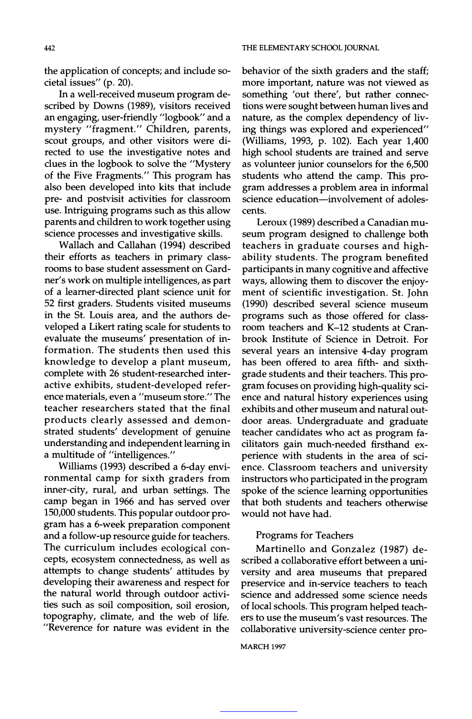**the application of concepts; and include societal issues" (p. 20).** 

**In a well-received museum program described by Downs (1989), visitors received an engaging, user-friendly "logbook" and a mystery "fragment." Children, parents, scout groups, and other visitors were directed to use the investigative notes and clues in the logbook to solve the "Mystery of the Five Fragments." This program has also been developed into kits that include pre- and postvisit activities for classroom use. Intriguing programs such as this allow parents and children to work together using science processes and investigative skills.** 

**Wallach and Callahan (1994) described their efforts as teachers in primary classrooms to base student assessment on Gardner's work on multiple intelligences, as part of a learner-directed plant science unit for 52 first graders. Students visited museums in the St. Louis area, and the authors developed a Likert rating scale for students to evaluate the museums' presentation of information. The students then used this knowledge to develop a plant museum, complete with 26 student-researched interactive exhibits, student-developed reference materials, even a "museum store." The teacher researchers stated that the final products clearly assessed and demonstrated students' development of genuine understanding and independent learning in a multitude of "intelligences."** 

**Williams (1993) described a 6-day environmental camp for sixth graders from inner-city, rural, and urban settings. The camp began in 1966 and has served over 150,000 students. This popular outdoor program has a 6-week preparation component and a follow-up resource guide for teachers. The curriculum includes ecological concepts, ecosystem connectedness, as well as attempts to change students' attitudes by developing their awareness and respect for the natural world through outdoor activities such as soil composition, soil erosion, topography, climate, and the web of life. "Reverence for nature was evident in the** 

**behavior of the sixth graders and the staff; more important, nature was not viewed as something 'out there', but rather connections were sought between human lives and nature, as the complex dependency of living things was explored and experienced" (Williams, 1993, p. 102). Each year 1,400 high school students are trained and serve as volunteer junior counselors for the 6,500 students who attend the camp. This program addresses a problem area in informal**  science education—involvement of adoles**cents.** 

**Leroux (1989) described a Canadian museum program designed to challenge both teachers in graduate courses and highability students. The program benefited participants in many cognitive and affective ways, allowing them to discover the enjoyment of scientific investigation. St. John (1990) described several science museum programs such as those offered for classroom teachers and K-12 students at Cranbrook Institute of Science in Detroit. For several years an intensive 4-day program has been offered to area fifth- and sixthgrade students and their teachers. This program focuses on providing high-quality science and natural history experiences using exhibits and other museum and natural outdoor areas. Undergraduate and graduate teacher candidates who act as program facilitators gain much-needed firsthand experience with students in the area of science. Classroom teachers and university instructors who participated in the program spoke of the science learning opportunities that both students and teachers otherwise would not have had.** 

#### **Programs for Teachers**

**Martinello and Gonzalez (1987) described a collaborative effort between a university and area museums that prepared preservice and in-service teachers to teach science and addressed some science needs of local schools. This program helped teachers to use the museum's vast resources. The collaborative university-science center pro-**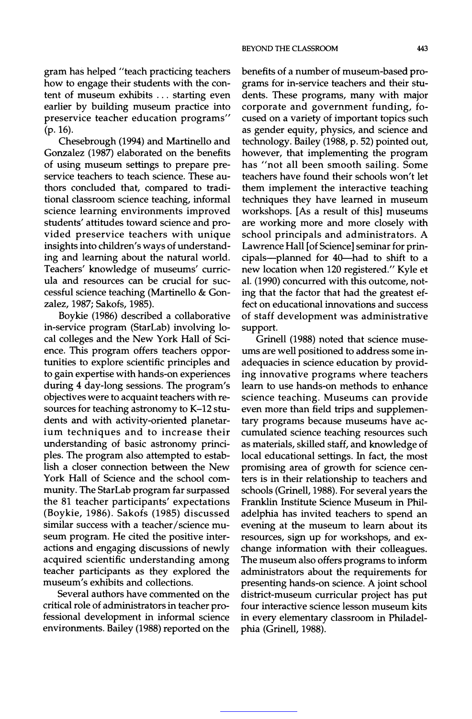**Chesebrough (1994) and Martinello and Gonzalez (1987) elaborated on the benefits of using museum settings to prepare preservice teachers to teach science. These authors concluded that, compared to traditional classroom science teaching, informal science learning environments improved students' attitudes toward science and provided preservice teachers with unique insights into children's ways of understanding and learning about the natural world. Teachers' knowledge of museums' curricula and resources can be crucial for successful science teaching (Martinello & Gonzalez, 1987; Sakofs, 1985).** 

**Boykie (1986) described a collaborative in-service program (StarLab) involving local colleges and the New York Hall of Science. This program offers teachers opportunities to explore scientific principles and to gain expertise with hands-on experiences during 4 day-long sessions. The program's objectives were to acquaint teachers with resources for teaching astronomy to K-12 students and with activity-oriented planetarium techniques and to increase their understanding of basic astronomy principles. The program also attempted to establish a closer connection between the New York Hall of Science and the school community. The StarLab program far surpassed the 81 teacher participants' expectations (Boykie, 1986). Sakofs (1985) discussed similar success with a teacher/science museum program. He cited the positive interactions and engaging discussions of newly acquired scientific understanding among teacher participants as they explored the museum's exhibits and collections.** 

**Several authors have commented on the critical role of administrators in teacher professional development in informal science environments. Bailey (1988) reported on the**  **benefits of a number of museum-based programs for in-service teachers and their students. These programs, many with major corporate and government funding, focused on a variety of important topics such as gender equity, physics, and science and technology. Bailey (1988, p. 52) pointed out, however, that implementing the program has "not all been smooth sailing. Some teachers have found their schools won't let them implement the interactive teaching techniques they have learned in museum workshops. [As a result of this] museums are working more and more closely with school principals and administrators. A Lawrence Hall [of Science] seminar for principals-planned for 40-had to shift to a new location when 120 registered." Kyle et al. (1990) concurred with this outcome, noting that the factor that had the greatest effect on educational innovations and success of staff development was administrative support.** 

**Grinell (1988) noted that science museums are well positioned to address some inadequacies in science education by providing innovative programs where teachers learn to use hands-on methods to enhance science teaching. Museums can provide even more than field trips and supplementary programs because museums have accumulated science teaching resources such as materials, skilled staff, and knowledge of local educational settings. In fact, the most promising area of growth for science centers is in their relationship to teachers and schools (Grinell, 1988). For several years the Franklin Institute Science Museum in Philadelphia has invited teachers to spend an evening at the museum to learn about its resources, sign up for workshops, and exchange information with their colleagues. The museum also offers programs to inform administrators about the requirements for presenting hands-on science. A joint school district-museum curricular project has put four interactive science lesson museum kits in every elementary classroom in Philadelphia (Grinell, 1988).**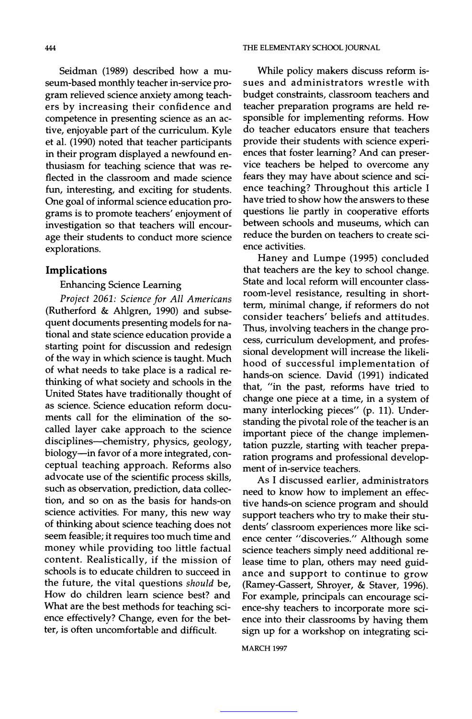**Seidman (1989) described how a museum-based monthly teacher in-service program relieved science anxiety among teachers by increasing their confidence and competence in presenting science as an active, enjoyable part of the curriculum. Kyle et al. (1990) noted that teacher participants in their program displayed a newfound enthusiasm for teaching science that was reflected in the classroom and made science fun, interesting, and exciting for students. One goal of informal science education programs is to promote teachers' enjoyment of investigation so that teachers will encourage their students to conduct more science explorations.** 

#### **Implications**

### **Enhancing Science Learning**

**Project 2061: Science for All Americans (Rutherford & Ahlgren, 1990) and subsequent documents presenting models for national and state science education provide a starting point for discussion and redesign of the way in which science is taught. Much of what needs to take place is a radical rethinking of what society and schools in the United States have traditionally thought of as science. Science education reform documents call for the elimination of the socalled layer cake approach to the science disciplines-chemistry, physics, geology, biology-in favor of a more integrated, conceptual teaching approach. Reforms also advocate use of the scientific process skills, such as observation, prediction, data collection, and so on as the basis for hands-on science activities. For many, this new way of thinking about science teaching does not seem feasible; it requires too much time and money while providing too little factual content. Realistically, if the mission of schools is to educate children to succeed in the future, the vital questions should be, How do children learn science best? and What are the best methods for teaching science effectively? Change, even for the better, is often uncomfortable and difficult.** 

**While policy makers discuss reform issues and administrators wrestle with budget constraints, classroom teachers and teacher preparation programs are held responsible for implementing reforms. How do teacher educators ensure that teachers provide their students with science experiences that foster learning? And can preservice teachers be helped to overcome any fears they may have about science and science teaching? Throughout this article I have tried to show how the answers to these questions lie partly in cooperative efforts between schools and museums, which can reduce the burden on teachers to create science activities.** 

**Haney and Lumpe (1995) concluded that teachers are the key to school change. State and local reform will encounter classroom-level resistance, resulting in shortterm, minimal change, if reformers do not consider teachers' beliefs and attitudes. Thus, involving teachers in the change process, curriculum development, and professional development will increase the likelihood of successful implementation of hands-on science. David (1991) indicated that, "in the past, reforms have tried to change one piece at a time, in a system of many interlocking pieces" (p. 11). Understanding the pivotal role of the teacher is an important piece of the change implementation puzzle, starting with teacher preparation programs and professional development of in-service teachers.** 

**As I discussed earlier, administrators need to know how to implement an effective hands-on science program and should support teachers who try to make their students' classroom experiences more like science center "discoveries." Although some science teachers simply need additional release time to plan, others may need guidance and support to continue to grow (Ramey-Gassert, Shroyer, & Staver, 1996). For example, principals can encourage science-shy teachers to incorporate more science into their classrooms by having them sign up for a workshop on integrating sci-**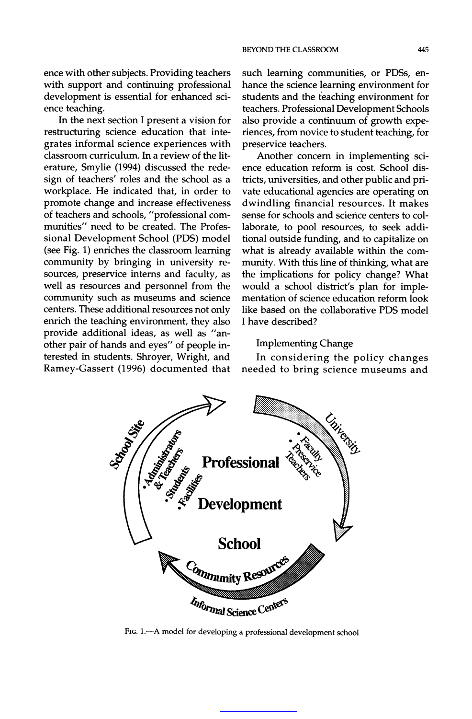**ence teaching. In the next section I present a vision for restructuring science education that integrates informal science experiences with classroom curriculum. In a review of the literature, Smylie (1994) discussed the redesign of teachers' roles and the school as a workplace. He indicated that, in order to promote change and increase effectiveness of teachers and schools, "professional communities" need to be created. The Professional Development School (PDS) model (see Fig. 1) enriches the classroom learning community by bringing in university resources, preservice interns and faculty, as well as resources and personnel from the community such as museums and science centers. These additional resources not only enrich the teaching environment, they also provide additional ideas, as well as "another pair of hands and eyes" of people interested in students. Shroyer, Wright, and Ramey-Gassert (1996) documented that** 

**such learning communities, or PDSs, enhance the science learning environment for students and the teaching environment for teachers. Professional Development Schools also provide a continuum of growth experiences, from novice to student teaching, for preservice teachers.** 

**Another concern in implementing science education reform is cost. School districts, universities, and other public and private educational agencies are operating on dwindling financial resources. It makes sense for schools and science centers to collaborate, to pool resources, to seek additional outside funding, and to capitalize on what is already available within the community. With this line of thinking, what are the implications for policy change? What would a school district's plan for implementation of science education reform look like based on the collaborative PDS model I have described?** 

#### **Implementing Change**

**In considering the policy changes needed to bring science museums and** 



FIG. 1.-A model for developing a professional development school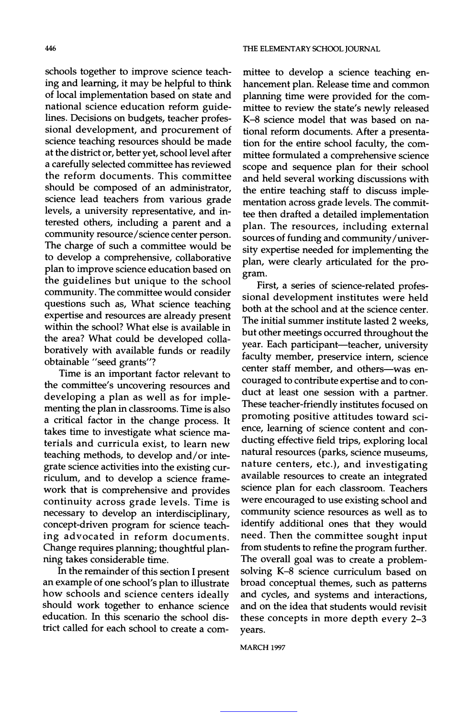**schools together to improve science teaching and learning, it may be helpful to think of local implementation based on state and national science education reform guidelines. Decisions on budgets, teacher professional development, and procurement of science teaching resources should be made at the district or, better yet, school level after a carefully selected committee has reviewed the reform documents. This committee should be composed of an administrator, science lead teachers from various grade levels, a university representative, and interested others, including a parent and a community resource/science center person. The charge of such a committee would be to develop a comprehensive, collaborative plan to improve science education based on the guidelines but unique to the school community. The committee would consider questions such as, What science teaching expertise and resources are already present within the school? What else is available in the area? What could be developed collaboratively with available funds or readily obtainable "seed grants"?** 

**Time is an important factor relevant to the committee's uncovering resources and developing a plan as well as for implementing the plan in classrooms. Time is also a critical factor in the change process. It takes time to investigate what science materials and curricula exist, to learn new teaching methods, to develop and/or integrate science activities into the existing curriculum, and to develop a science framework that is comprehensive and provides continuity across grade levels. Time is necessary to develop an interdisciplinary, concept-driven program for science teaching advocated in reform documents. Change requires planning; thoughtful planning takes considerable time.** 

**In the remainder of this section I present an example of one school's plan to illustrate how schools and science centers ideally should work together to enhance science education. In this scenario the school district called for each school to create a com-** **mittee to develop a science teaching enhancement plan. Release time and common planning time were provided for the committee to review the state's newly released K-8 science model that was based on national reform documents. After a presentation for the entire school faculty, the committee formulated a comprehensive science scope and sequence plan for their school and held several working discussions with the entire teaching staff to discuss implementation across grade levels. The committee then drafted a detailed implementation plan. The resources, including external sources of funding and community/university expertise needed for implementing the plan, were clearly articulated for the program.** 

**First, a series of science-related professional development institutes were held both at the school and at the science center. The initial summer institute lasted 2 weeks, but other meetings occurred throughout the year. Each participant-teacher, university faculty member, preservice intern, science**  center staff member, and others-was en**couraged to contribute expertise and to conduct at least one session with a partner. These teacher-friendly institutes focused on promoting positive attitudes toward science, learning of science content and conducting effective field trips, exploring local natural resources (parks, science museums, nature centers, etc.), and investigating available resources to create an integrated science plan for each classroom. Teachers were encouraged to use existing school and community science resources as well as to identify additional ones that they would need. Then the committee sought input from students to refine the program further. The overall goal was to create a problemsolving K-8 science curriculum based on broad conceptual themes, such as patterns and cycles, and systems and interactions, and on the idea that students would revisit these concepts in more depth every 2-3 years.**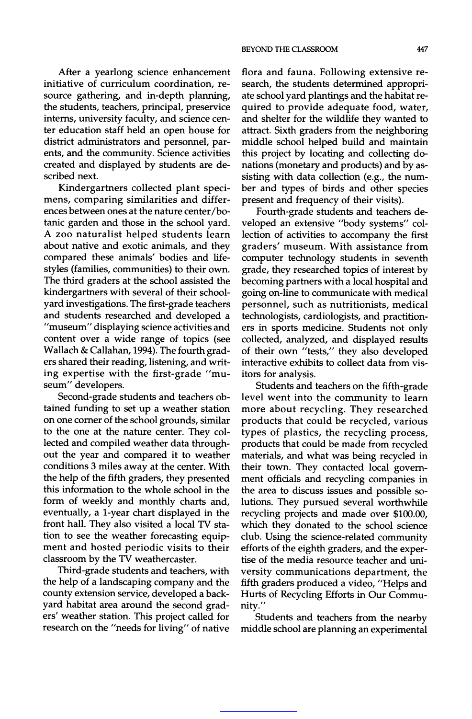**BEYOND THE CLASSROOM 447** 

**After a yearlong science enhancement initiative of curriculum coordination, resource gathering, and in-depth planning, the students, teachers, principal, preservice interns, university faculty, and science center education staff held an open house for district administrators and personnel, parents, and the community. Science activities created and displayed by students are described next.** 

**Kindergartners collected plant specimens, comparing similarities and differences between ones at the nature center/botanic garden and those in the school yard. A zoo naturalist helped students learn about native and exotic animals, and they compared these animals' bodies and lifestyles (families, communities) to their own. The third graders at the school assisted the kindergartners with several of their schoolyard investigations. The first-grade teachers and students researched and developed a "museum" displaying science activities and content over a wide range of topics (see Wallach & Callahan, 1994). The fourth graders shared their reading, listening, and writing expertise with the first-grade "museum" developers.** 

**Second-grade students and teachers obtained funding to set up a weather station on one corner of the school grounds, similar to the one at the nature center. They collected and compiled weather data throughout the year and compared it to weather conditions 3 miles away at the center. With the help of the fifth graders, they presented this information to the whole school in the form of weekly and monthly charts and, eventually, a 1-year chart displayed in the front hall. They also visited a local TV station to see the weather forecasting equipment and hosted periodic visits to their classroom by the TV weathercaster.** 

**Third-grade students and teachers, with the help of a landscaping company and the county extension service, developed a backyard habitat area around the second graders' weather station. This project called for research on the "needs for living" of native**  **flora and fauna. Following extensive research, the students determined appropriate school yard plantings and the habitat required to provide adequate food, water, and shelter for the wildlife they wanted to attract. Sixth graders from the neighboring middle school helped build and maintain this project by locating and collecting donations (monetary and products) and by assisting with data collection (e.g., the number and types of birds and other species present and frequency of their visits).** 

**Fourth-grade students and teachers developed an extensive "body systems" collection of activities to accompany the first graders' museum. With assistance from computer technology students in seventh grade, they researched topics of interest by becoming partners with a local hospital and going on-line to communicate with medical personnel, such as nutritionists, medical technologists, cardiologists, and practitioners in sports medicine. Students not only collected, analyzed, and displayed results of their own "tests," they also developed interactive exhibits to collect data from visitors for analysis.** 

**Students and teachers on the fifth-grade level went into the community to learn more about recycling. They researched products that could be recycled, various types of plastics, the recycling process, products that could be made from recycled materials, and what was being recycled in their town. They contacted local government officials and recycling companies in the area to discuss issues and possible solutions. They pursued several worthwhile recycling projects and made over \$100.00, which they donated to the school science club. Using the science-related community efforts of the eighth graders, and the expertise of the media resource teacher and university communications department, the fifth graders produced a video, "Helps and Hurts of Recycling Efforts in Our Community."** 

**Students and teachers from the nearby middle school are planning an experimental**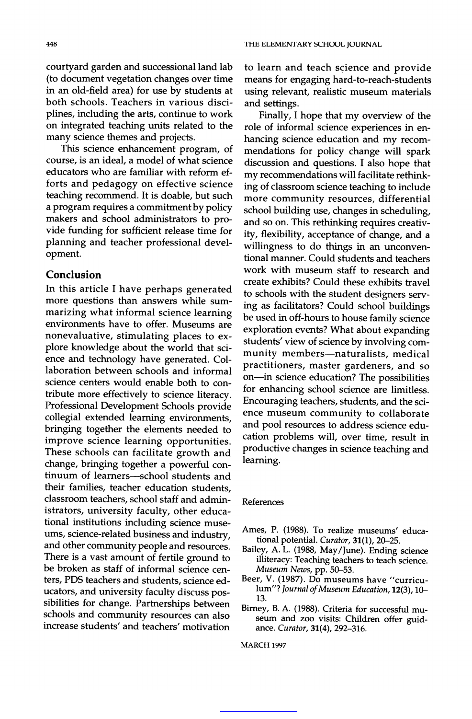**courtyard garden and successional land lab (to document vegetation changes over time in an old-field area) for use by students at both schools. Teachers in various disciplines, including the arts, continue to work on integrated teaching units related to the many science themes and projects.** 

**This science enhancement program, of course, is an ideal, a model of what science educators who are familiar with reform efforts and pedagogy on effective science teaching recommend. It is doable, but such a program requires a commitment by policy makers and school administrators to provide funding for sufficient release time for planning and teacher professional development.** 

# **Conclusion**

**In this article I have perhaps generated more questions than answers while summarizing what informal science learning environments have to offer. Museums are nonevaluative, stimulating places to explore knowledge about the world that science and technology have generated. Collaboration between schools and informal science centers would enable both to contribute more effectively to science literacy. Professional Development Schools provide collegial extended learning environments, bringing together the elements needed to improve science learning opportunities. These schools can facilitate growth and change, bringing together a powerful continuum of learners-school students and their families, teacher education students, classroom teachers, school staff and administrators, university faculty, other educational institutions including science museums, science-related business and industry, and other community people and resources. There is a vast amount of fertile ground to be broken as staff of informal science centers, PDS teachers and students, science educators, and university faculty discuss possibilities for change. Partnerships between schools and community resources can also increase students' and teachers' motivation** 

**to learn and teach science and provide means for engaging hard-to-reach-students using relevant, realistic museum materials and settings.** 

**Finally, I hope that my overview of the role of informal science experiences in enhancing science education and my recommendations for policy change will spark discussion and questions. I also hope that my recommendations will facilitate rethinking of classroom science teaching to include more community resources, differential school building use, changes in scheduling, and so on. This rethinking requires creativity, flexibility, acceptance of change, and a willingness to do things in an unconventional manner. Could students and teachers work with museum staff to research and create exhibits? Could these exhibits travel to schools with the student designers serving as facilitators? Could school buildings be used in off-hours to house family science exploration events? What about expanding students' view of science by involving community members-naturalists, medical practitioners, master gardeners, and so on-in science education? The possibilities for enhancing school science are limitless. Encouraging teachers, students, and the science museum community to collaborate and pool resources to address science education problems will, over time, result in productive changes in science teaching and learning.** 

#### **References**

- **Ames, P. (1988). To realize museums' educational potential. Curator, 31(1), 20-25.**
- **Bailey, A. L. (1988, May/June). Ending science illiteracy: Teaching teachers to teach science. Museum News, pp. 50-53.**
- **Beer, V. (1987). Do museums have "curriculum"? Journal of Museum Education, 12(3), 10- 13.**
- **Birney, B. A. (1988). Criteria for successful museum and zoo visits: Children offer guidance. Curator, 31(4), 292-316.**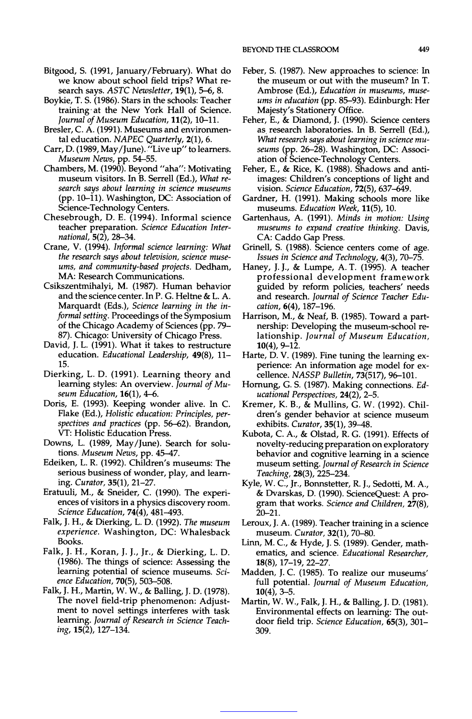- **Bitgood, S. (1991, January/February). What do we know about school field trips? What research says. ASTC Newsletter, 19(1), 5-6, 8.**
- **Boykie, T. S. (1986). Stars in the schools: Teacher training at the New York Hall of Science. Journal of Museum Education, 11(2), 10-11.**
- **Bresler, C. A. (1991). Museums and environmental education. NAPEC Quarterly, 2(1), 6.**
- **Carr, D. (1989, May/June). "Live up" to learners. Museum News, pp. 54-55.**
- **Chambers, M. (1990). Beyond "aha": Motivating museum visitors. In B. Serrell (Ed.), What research says about learning in science museums (pp. 10-11). Washington, DC: Association of Science-Technology Centers.**
- **Chesebrough, D. E. (1994). Informal science teacher preparation. Science Education International, 5(2), 28-34.**
- **Crane, V. (1994). Informal science learning: What the research says about television, science museums, and community-based projects. Dedham, MA: Research Communications.**
- **Csikszentmihalyi, M. (1987). Human behavior and the science center. In P. G. Heltne & L. A. Marquardt (Eds.), Science learning in the informal setting. Proceedings of the Symposium of the Chicago Academy of Sciences (pp. 79- 87). Chicago: University of Chicago Press.**
- **David, J. L. (1991). What it takes to restructure education. Educational Leadership, 49(8), 11- 15.**
- **Dierking, L. D. (1991). Learning theory and learning styles: An overview. Journal of Museum Education, 16(1),**
- Doris, E. (1993). Keeping wonder alive. In C. **Flake (Ed.), Holistic education: Principles, perspectives and practices (pp. 56-62). Brandon, VT: Holistic Education Press.**
- **Downs, L. (1989, May/June). Search for solutions. Museum News, pp. 45-47.**
- **Edeiken, L. R. (1992). Children's museums: The serious business of wonder, play, and learning. Curator, 35(1), 21-27.**
- **Eratuuli, M., & Sneider, C. (1990). The experiences of visitors in a physics discovery room. Science Education, 74(4), 481-493.**
- **Falk, J. H., & Dierking, L. D. (1992). The museum experience. Washington, DC: Whalesback Books.**
- **Falk, J. H., Koran, J. J., Jr., & Dierking, L. D. (1986). The things of science: Assessing the learning potential of science museums. Science Education, 70(5), 503-508.**
- **Falk, J. H., Martin, W. W., & Balling, J. D. (1978). The novel field-trip phenomenon: Adjustment to novel settings interferes with task learning. Journal of Research in Science Teaching, 15(2), 127-134.**
- **Feber, S. (1987). New approaches to science: In the museum or out with the museum? In T. Ambrose (Ed.), Education in museums, museums in education (pp. 85-93). Edinburgh: Her Majesty's Stationery Office.**
- **Feher, E., & Diamond, J. (1990). Science centers as research laboratories. In B. Serrell (Ed.), What research says about learning in science museums (pp. 26-28). Washington, DC: Association of Science-Technology Centers.**
- **Feher, E., & Rice, K. (1988). Shadows and antiimages: Children's conceptions of light and vision. Science Education, 72(5), 637-649.**
- **Gardner, H. (1991). Making schools more like museums. Education Week, 11(5), 10.**
- **Gartenhaus, A. (1991). Minds in motion: Using museums to expand creative thinking. Davis, CA: Caddo Gap Press.**
- **Grinell, S. (1988). Science centers come of age. Issues in Science and Technology, 4(3), 70-75.**
- **Haney, J. J., & Lumpe, A. T. (1995). A teacher professional development framework guided by reform policies, teachers' needs and research. Journal of Science Teacher Education, 6(4), 187-196.**
- **Harrison, M., & Neaf, B. (1985). Toward a partnership: Developing the museum-school relationship. Journal of Museum Education, 10(4), 9-12.**
- **Harte, D. V. (1989). Fine tuning the learning experience: An information age model for excellence. NASSP Bulletin, 73(517), 96-101.**
- **Hornung, G. S. (1987). Making connections. Educational Perspectives, 24(2), 2-5.**
- **Kremer, K. B., & Mullins, G. W. (1992). Children's gender behavior at science museum exhibits. Curator, 35(1), 39-48.**
- **Kubota, C. A., & Olstad, R. G. (1991). Effects of novelty-reducing preparation on exploratory behavior and cognitive learning in a science museum setting. Journal of Research in Science Teaching, 28(3), 225-234.**
- **Kyle, W. C., Jr., Bonnstetter, R. J., Sedotti, M. A., & Dvarskas, D. (1990). ScienceQuest: A program that works. Science and Children, 27(8), 20-21.**
- **Leroux, J. A. (1989). Teacher training in a science museum. Curator, 32(1), 70-80.**
- **Linn, M. C., & Hyde, J. S. (1989). Gender, mathematics, and science. Educational Researcher, 18(8), 17-19, 22-27.**
- **Madden, J. C. (1985). To realize our museums' full potential. Journal of Museum Education, 10(4), 3-5.**
- **Martin, W. W., Falk, J. H., & Balling, J. D. (1981). Environmental effects on learning: The outdoor field trip. Science Education, 65(3), 301- 309.**